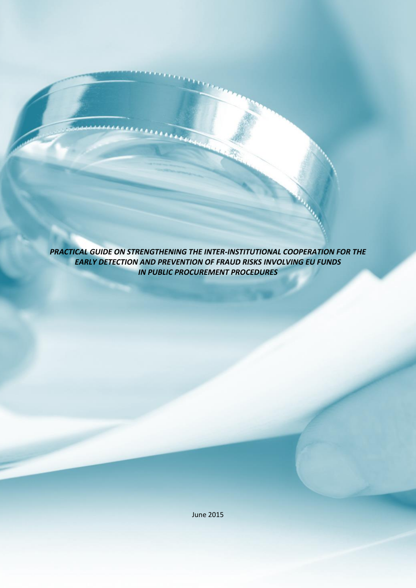*PRACTICAL GUIDE ON STRENGTHENING THE INTER-INSTITUTIONAL COOPERATION FOR THE EARLY DETECTION AND PREVENTION OF FRAUD RISKS INVOLVING EU FUNDS IN PUBLIC PROCUREMENT PROCEDURES*

June 2015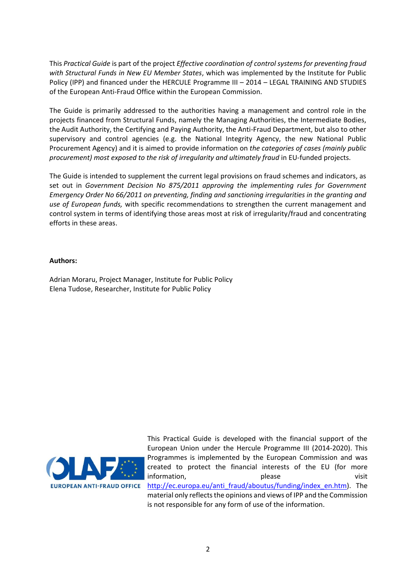This *Practical Guide* is part of the project *Effective coordination of control systems for preventing fraud with Structural Funds in New EU Member States*, which was implemented by the Institute for Public Policy (IPP) and financed under the HERCULE Programme III – 2014 – LEGAL TRAINING AND STUDIES of the European Anti-Fraud Office within the European Commission.

The Guide is primarily addressed to the authorities having a management and control role in the projects financed from Structural Funds, namely the Managing Authorities, the Intermediate Bodies, the Audit Authority, the Certifying and Paying Authority, the Anti-Fraud Department, but also to other supervisory and control agencies (e.g. the National Integrity Agency, the new National Public Procurement Agency) and it is aimed to provide information on *the categories of cases (mainly public procurement) most exposed to the risk of irregularity and ultimately fraud* in EU-funded projects.

The Guide is intended to supplement the current legal provisions on fraud schemes and indicators, as set out in *Government Decision No 875/2011 approving the implementing rules for Government Emergency Order No 66/2011 on preventing, finding and sanctioning irregularities in the granting and use of European funds,* with specific recommendations to strengthen the current management and control system in terms of identifying those areas most at risk of irregularity/fraud and concentrating efforts in these areas.

### **Authors:**

Adrian Moraru, Project Manager, Institute for Public Policy Elena Tudose, Researcher, Institute for Public Policy



This Practical Guide is developed with the financial support of the European Union under the Hercule Programme III (2014-2020). This Programmes is implemented by the European Commission and was created to protect the financial interests of the EU (for more information, please please visit [http://ec.europa.eu/anti\\_fraud/aboutus/funding/index\\_en.htm\)](http://ec.europa.eu/anti_fraud/about-us/funding/index_en.htm). The material only reflects the opinions and views of IPP and the Commission is not responsible for any form of use of the information.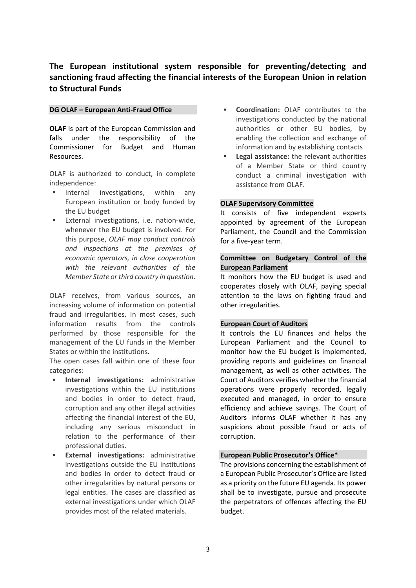# **The European institutional system responsible for preventing/detecting and sanctioning fraud affecting the financial interests of the European Union in relation to Structural Funds**

#### **DG OLAF – European Anti-Fraud Office**

**OLAF** is part of the European Commission and falls under the responsibility of the Commissioner for Budget and Human Resources.

OLAF is authorized to conduct, in complete independence:

- Internal investigations, within any European institution or body funded by the EU budget
- **External investigations, i.e. nation-wide,** whenever the EU budget is involved. For this purpose, *OLAF may conduct controls and inspections at the premises of economic operators, in close cooperation with the relevant authorities of the Member State or third country in question*.

OLAF receives, from various sources, an increasing volume of information on potential fraud and irregularities. In most cases, such information results from the controls performed by those responsible for the management of the EU funds in the Member States or within the institutions.

The open cases fall within one of these four categories:

- **Internal investigations:** administrative investigations within the EU institutions and bodies in order to detect fraud, corruption and any other illegal activities affecting the financial interest of the EU, including any serious misconduct in relation to the performance of their professional duties.
- **External investigations:** administrative investigations outside the EU institutions and bodies in order to detect fraud or other irregularities by natural persons or legal entities. The cases are classified as external investigations under which OLAF provides most of the related materials.
- **Coordination:** OLAF contributes to the investigations conducted by the national authorities or other EU bodies, by enabling the collection and exchange of information and by establishing contacts
- **Legal assistance:** the relevant authorities of a Member State or third country conduct a criminal investigation with assistance from OLAF.

#### **OLAF Supervisory Committee**

It consists of five independent experts appointed by agreement of the European Parliament, the Council and the Commission for a five-year term.

# **Committee on Budgetary Control of the European Parliament**

It monitors how the EU budget is used and cooperates closely with OLAF, paying special attention to the laws on fighting fraud and other irregularities.

#### **European Court of Auditors**

It controls the EU finances and helps the European Parliament and the Council to monitor how the EU budget is implemented, providing reports and guidelines on financial management, as well as other activities. The Court of Auditors verifies whether the financial operations were properly recorded, legally executed and managed, in order to ensure efficiency and achieve savings. The Court of Auditors informs OLAF whether it has any suspicions about possible fraud or acts of corruption.

### **European Public Prosecutor's Office\***

The provisions concerning the establishment of a European Public Prosecutor's Office are listed as a priority on the future EU agenda. Its power shall be to investigate, pursue and prosecute the perpetrators of offences affecting the EU budget.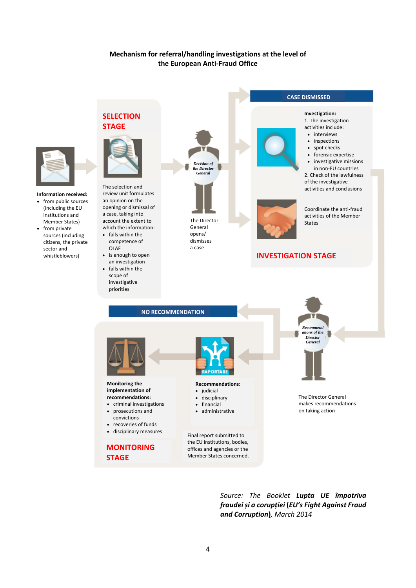# **Mechanism for referral/handling investigations at the level of the European Anti-Fraud Office**



**Information received:**

- from public sources (including the EU institutions and
- Member States) • from private sources (including
- citizens, the private sector and whistleblowers)



**SELECTION** 

The selection and review unit formulates an opinion on the opening or dismissal of a case, taking into account the extent to which the information:

- falls within the competence of OLAF
- is enough to open an investigation
- falls within the scope of investigative priorities

**STAGE**



The Director General opens/ dismisses a case



**CASE DISMISSED**

**Investigation:** 1. The investigation

# **INVESTIGATION STAGE**



*Source: The Booklet Lupta UE împotriva fraudei și a corupției* **(***EU's Fight Against Fraud and Corruption***)***, March 2014*

Member States concerned.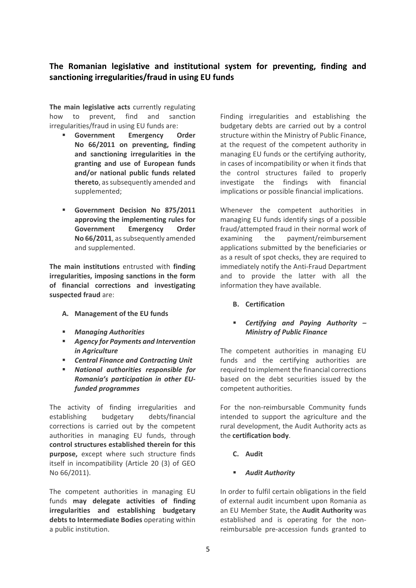# **The Romanian legislative and institutional system for preventing, finding and sanctioning irregularities/fraud in using EU funds**

**The main legislative acts** currently regulating how to prevent, find and sanction irregularities/fraud in using EU funds are:

- **Government Emergency Order No 66/2011 on preventing, finding and sanctioning irregularities in the granting and use of European funds and/or national public funds related thereto**, as subsequently amended and supplemented;
- **Government Decision No 875/2011 approving the implementing rules for Government Emergency Order No 66/2011**, as subsequently amended and supplemented.

**The main institutions** entrusted with **finding irregularities, imposing sanctions in the form of financial corrections and investigating suspected fraud** are:

- **A. Management of the EU funds**
- *Managing Authorities*
- *Agency for Payments and Intervention in Agriculture*
- *Central Finance and Contracting Unit*
- *National authorities responsible for Romania's participation in other EUfunded programmes*

The activity of finding irregularities and establishing budgetary debts/financial corrections is carried out by the competent authorities in managing EU funds, through **control structures established therein for this purpose,** except where such structure finds itself in incompatibility (Article 20 (3) of GEO No 66/2011).

The competent authorities in managing EU funds **may delegate activities of finding irregularities and establishing budgetary debts to Intermediate Bodies** operating within a public institution.

Finding irregularities and establishing the budgetary debts are carried out by a control structure within the Ministry of Public Finance, at the request of the competent authority in managing EU funds or the certifying authority, in cases of incompatibility or when it finds that the control structures failed to properly investigate the findings with financial implications or possible financial implications.

Whenever the competent authorities in managing EU funds identify sings of a possible fraud/attempted fraud in their normal work of examining the payment/reimbursement applications submitted by the beneficiaries or as a result of spot checks, they are required to immediately notify the Anti-Fraud Department and to provide the latter with all the information they have available.

**B. Certification**

# *Certifying and Paying Authority – Ministry of Public Finance*

The competent authorities in managing EU funds and the certifying authorities are required to implement the financial corrections based on the debt securities issued by the competent authorities.

For the non-reimbursable Community funds intended to support the agriculture and the rural development, the Audit Authority acts as the **certification body**.

- **C. Audit**
- *Audit Authority*

In order to fulfil certain obligations in the field of external audit incumbent upon Romania as an EU Member State, the **Audit Authority** was established and is operating for the nonreimbursable pre-accession funds granted to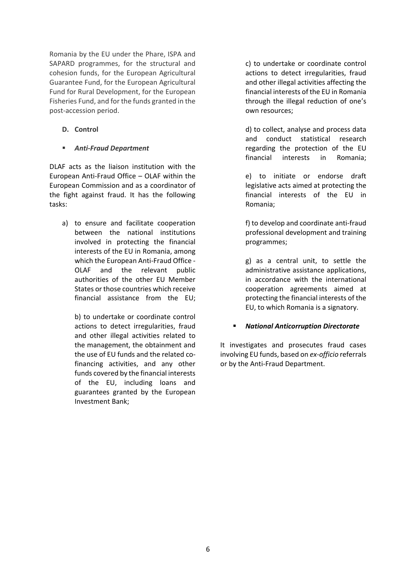Romania by the EU under the Phare, ISPA and SAPARD programmes, for the structural and cohesion funds, for the European Agricultural Guarantee Fund, for the European Agricultural Fund for Rural Development, for the European Fisheries Fund, and for the funds granted in the post-accession period.

**D. Control**

### *Anti-Fraud Department*

DLAF acts as the liaison institution with the European Anti-Fraud Office – OLAF within the European Commission and as a coordinator of the fight against fraud. It has the following tasks:

a) to ensure and facilitate cooperation between the national institutions involved in protecting the financial interests of the EU in Romania, among which the European Anti-Fraud Office - OLAF and the relevant public authorities of the other EU Member States or those countries which receive financial assistance from the EU;

b) to undertake or coordinate control actions to detect irregularities, fraud and other illegal activities related to the management, the obtainment and the use of EU funds and the related cofinancing activities, and any other funds covered by the financial interests of the EU, including loans and guarantees granted by the European Investment Bank;

c) to undertake or coordinate control actions to detect irregularities, fraud and other illegal activities affecting the financial interests of the EU in Romania through the illegal reduction of one's own resources;

d) to collect, analyse and process data and conduct statistical research regarding the protection of the EU financial interests in Romania;

e) to initiate or endorse draft legislative acts aimed at protecting the financial interests of the EU in Romania;

f) to develop and coordinate anti-fraud professional development and training programmes;

g) as a central unit, to settle the administrative assistance applications, in accordance with the international cooperation agreements aimed at protecting the financial interests of the EU, to which Romania is a signatory.

### *National Anticorruption Directorate*

It investigates and prosecutes fraud cases involving EU funds, based on *ex-officio* referrals or by the Anti-Fraud Department.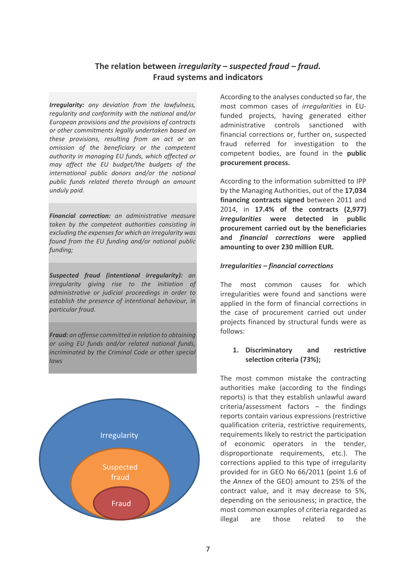# **The relation between** *irregularity – suspected fraud – fraud.*  **Fraud systems and indicators**

*Irregularity: any deviation from the lawfulness, regularity and conformity with the national and/or European provisions and the provisions of contracts or other commitments legally undertaken based on these provisions, resulting from an act or an omission of the beneficiary or the competent authority in managing EU funds, which affected or may affect the EU budget/the budgets of the international public donors and/or the national public funds related thereto through an amount unduly paid.* 

*Financial correction: an administrative measure taken by the competent authorities consisting in excluding the expenses for which an irregularity was found from the EU funding and/or national public funding;*

*Suspected fraud (intentional irregularity): an irregularity giving rise to the initiation of administrative or judicial proceedings in order to establish the presence of intentional behaviour, in particular fraud.*

*Fraud: an offense committed in relation to obtaining or using EU funds and/or related national funds, incriminated by the Criminal Code or other special laws*



According to the analyses conducted so far, the most common cases of *irregularities* in EUfunded projects, having generated either administrative controls sanctioned with financial corrections or, further on, suspected fraud referred for investigation to the competent bodies, are found in the **public procurement process.** 

According to the information submitted to IPP by the Managing Authorities, out of the **17,034 financing contracts signed** between 2011 and 2014, in **17.4% of the contracts (2,977)**  *irregularities* **were detected in public procurement carried out by the beneficiaries and** *financial corrections* **were applied amounting to over 230 million EUR.**

#### *Irregularities – financial corrections*

The most common causes for which irregularities were found and sanctions were applied in the form of financial corrections in the case of procurement carried out under projects financed by structural funds were as follows:

#### **1. Discriminatory and restrictive selection criteria (73%);**

The most common mistake the contracting authorities make (according to the findings reports) is that they establish unlawful award criteria/assessment factors – the findings reports contain various expressions (restrictive qualification criteria, restrictive requirements, requirements likely to restrict the participation of economic operators in the tender, disproportionate requirements, etc.). The corrections applied to this type of irregularity provided for in GEO No 66/2011 (point 1.6 of the *Annex* of the GEO) amount to 25% of the contract value, and it may decrease to 5%, depending on the seriousness; in practice, the most common examples of criteria regarded as illegal are those related to the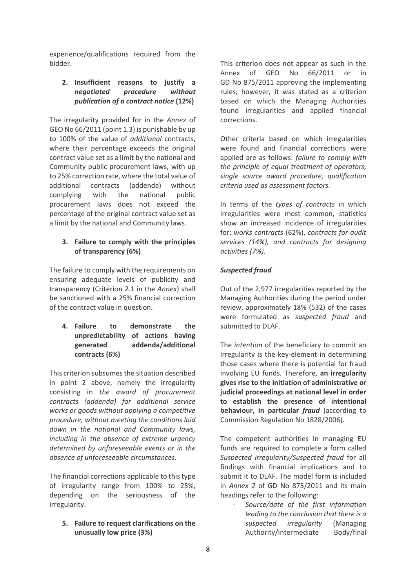experience/qualifications required from the bidder.

# **2. Insufficient reasons to justify a**  *negotiated procedure without publication of a contract notice* **(12%)**

The irregularity provided for in the *Annex* of GEO No 66/2011 (point 1.3) is punishable by up to 100% of the value of *additional* contracts, where their percentage exceeds the original contract value set as a limit by the national and Community public procurement laws, with up to 25% correction rate, where the total value of additional contracts (addenda) without complying with the national public procurement laws does not exceed the percentage of the original contract value set as a limit by the national and Community laws.

# **3. Failure to comply with the principles of transparency (6%)**

The failure to comply with the requirements on ensuring adequate levels of publicity and transparency (Criterion 2.1 in the *Annex*) shall be sanctioned with a 25% financial correction of the contract value in question.

# **4. Failure to demonstrate the unpredictability of actions having generated addenda/additional contracts (6%)**

This criterion subsumes the situation described in point 2 above, namely the irregularity consisting in *the award of procurement contracts (addenda) for additional service works or goods without applying a competitive procedure, without meeting the conditions laid down in the national and Community laws, including in the absence of extreme urgency determined by unforeseeable events or in the absence of unforeseeable circumstances.*

The financial corrections applicable to this type of irregularity range from 100% to 25%, depending on the seriousness of the irregularity.

**5. Failure to request clarifications on the unusually low price (3%)**

This criterion does not appear as such in the Annex of GEO No 66/2011 or in GD No 875/2011 approving the implementing rules; however, it was stated as a criterion based on which the Managing Authorities found irregularities and applied financial corrections.

Other criteria based on which irregularities were found and financial corrections were applied are as follows: *failure to comply with the principle of equal treatment of operators, single source award procedure, qualification criteria used as assessment factors.*

In terms of the *types of contracts* in which irregularities were most common, statistics show an increased incidence of irregularities for: *works contracts* (62%), *contracts for audit services (14%), and contracts for designing activities (7%).* 

# *Suspected fraud*

Out of the 2,977 irregularities reported by the Managing Authorities during the period under review, approximately 18% (532) of the cases were formulated as *suspected fraud* and submitted to DLAF.

The *intention* of the beneficiary to commit an irregularity is the key-element in determining those cases where there is potential for fraud involving EU funds. Therefore, **an irregularity gives rise to the initiation of administrative or judicial proceedings at national level in order to establish the presence of intentional behaviour, in particular** *fraud* (according to Commission Regulation No 1828/2006).

The competent authorities in managing EU funds are required to complete a form called *Suspected irregularity/Suspected fraud* for all findings with financial implications and to submit it to DLAF. The model form is included in *Annex 2* of GD No 875/2011 and its main headings refer to the following:

- *Source/date of the first information leading to the conclusion that there is a suspected irregularity* (Managing Authority/Intermediate Body/final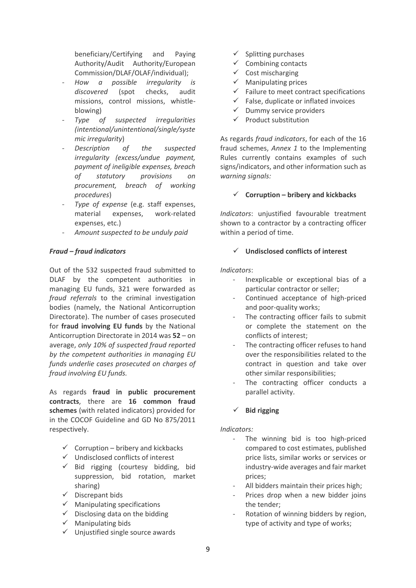beneficiary/Certifying and Paying Authority/Audit Authority/European Commission/DLAF/OLAF/individual);

- *How a possible irregularity is discovered* (spot checks, audit missions, control missions, whistleblowing)
- *Type of suspected irregularities (intentional/unintentional/single/syste mic irregularity*)
- Description of the suspected *irregularity (excess/undue payment, payment of ineligible expenses, breach of statutory provisions on procurement, breach of working procedures*)
- *Type of expense* (e.g. staff expenses, material expenses, work-related expenses, etc.)
- *Amount suspected to be unduly paid*

# *Fraud – fraud indicators*

Out of the 532 suspected fraud submitted to DLAF by the competent authorities in managing EU funds, 321 were forwarded as *fraud referrals* to the criminal investigation bodies (namely, the National Anticorruption Directorate). The number of cases prosecuted for **fraud involving EU funds** by the National Anticorruption Directorate in 2014 was **52** – on average, *only 10% of suspected fraud reported by the competent authorities in managing EU funds underlie cases prosecuted on charges of fraud involving EU funds.*

As regards **fraud in public procurement contracts**, there are **16 common fraud schemes** (with related indicators) provided for in the COCOF Guideline and GD No 875/2011 respectively.

- $\checkmark$  Corruption bribery and kickbacks
- $\checkmark$  Undisclosed conflicts of interest
- $\checkmark$  Bid rigging (courtesy bidding, bid suppression, bid rotation, market sharing)
- $\checkmark$  Discrepant bids
- $\checkmark$  Manipulating specifications
- $\checkmark$  Disclosing data on the bidding
- $\checkmark$  Manipulating bids
- $\checkmark$  Unjustified single source awards
- $\checkmark$  Splitting purchases
- $\checkmark$  Combining contacts
- $\checkmark$  Cost mischarging
- $\checkmark$  Manipulating prices
- $\checkmark$  Failure to meet contract specifications
- $\checkmark$  False, duplicate or inflated invoices
- $\checkmark$  Dummy service providers
- $\checkmark$  Product substitution

As regards *fraud indicators*, for each of the 16 fraud schemes, *Annex 1* to the Implementing Rules currently contains examples of such signs/indicators, and other information such as *warning signals:*

# **Corruption – bribery and kickbacks**

*Indicators*: unjustified favourable treatment shown to a contractor by a contracting officer within a period of time.

# **Undisclosed conflicts of interest**

*Indicators*:

- Inexplicable or exceptional bias of a particular contractor or seller;
- Continued acceptance of high-priced and poor-quality works;
- The contracting officer fails to submit or complete the statement on the conflicts of interest;
- The contracting officer refuses to hand over the responsibilities related to the contract in question and take over other similar responsibilities;
- The contracting officer conducts a parallel activity.

# **Bid rigging**

### *Indicators:*

- The winning bid is too high-priced compared to cost estimates, published price lists, similar works or services or industry-wide averages and fair market prices;
- All bidders maintain their prices high:
- Prices drop when a new bidder joins the tender;
- Rotation of winning bidders by region, type of activity and type of works;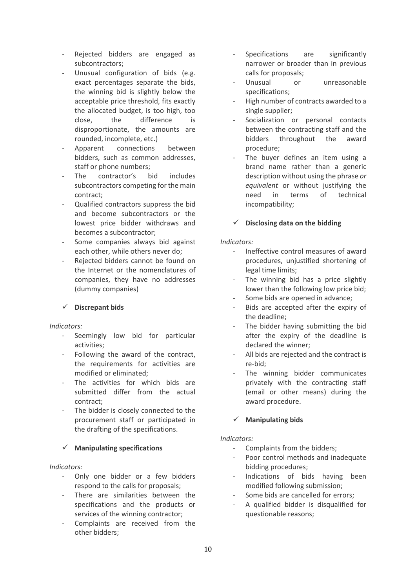- Rejected bidders are engaged as subcontractors;
- Unusual configuration of bids (e.g. exact percentages separate the bids, the winning bid is slightly below the acceptable price threshold, fits exactly the allocated budget, is too high, too close, the difference is disproportionate, the amounts are rounded, incomplete, etc.)
- Apparent connections between bidders, such as common addresses, staff or phone numbers;
- The contractor's bid includes subcontractors competing for the main contract;
- Qualified contractors suppress the bid and become subcontractors or the lowest price bidder withdraws and becomes a subcontractor;
- Some companies always bid against each other, while others never do;
- Rejected bidders cannot be found on the Internet or the nomenclatures of companies, they have no addresses (dummy companies)

# **Discrepant bids**

### *Indicators:*

- Seemingly low bid for particular activities;
- Following the award of the contract, the requirements for activities are modified or eliminated;
- The activities for which bids are submitted differ from the actual contract;
- The bidder is closely connected to the procurement staff or participated in the drafting of the specifications.

# **Manipulating specifications**

### *Indicators:*

- Only one bidder or a few bidders respond to the calls for proposals;
- There are similarities between the specifications and the products or services of the winning contractor;
- Complaints are received from the other bidders;
- Specifications are significantly narrower or broader than in previous calls for proposals;
- Unusual or unreasonable specifications;
- High number of contracts awarded to a single supplier;
- Socialization or personal contacts between the contracting staff and the bidders throughout the award procedure;
- The buyer defines an item using a brand name rather than a generic description without using the phrase *or equivalent* or without justifying the need in terms of technical incompatibility;

# **Disclosing data on the bidding**

### *Indicators:*

- Ineffective control measures of award procedures, unjustified shortening of legal time limits;
- The winning bid has a price slightly lower than the following low price bid;
- Some bids are opened in advance;
- Bids are accepted after the expiry of the deadline;
- The bidder having submitting the bid after the expiry of the deadline is declared the winner;
- All bids are rejected and the contract is re-bid;
- The winning bidder communicates privately with the contracting staff (email or other means) during the award procedure.

# **Manipulating bids**

### *Indicators:*

- Complaints from the bidders;
- Poor control methods and inadequate bidding procedures;
- Indications of bids having been modified following submission;
- Some bids are cancelled for errors;
- A qualified bidder is disqualified for questionable reasons;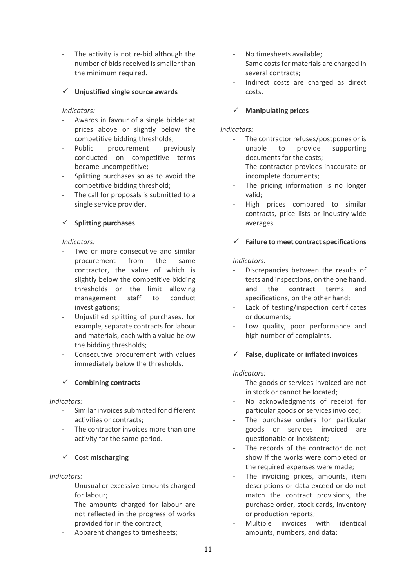The activity is not re-bid although the number of bids received is smaller than the minimum required.

# **Unjustified single source awards**

### *Indicators:*

- Awards in favour of a single bidder at prices above or slightly below the competitive bidding thresholds;
- Public procurement previously conducted on competitive terms became uncompetitive;
- Splitting purchases so as to avoid the competitive bidding threshold;
- The call for proposals is submitted to a single service provider.

# **Splitting purchases**

### *Indicators:*

- Two or more consecutive and similar procurement from the same contractor, the value of which is slightly below the competitive bidding thresholds or the limit allowing management staff to conduct investigations;
- Unjustified splitting of purchases, for example, separate contracts for labour and materials, each with a value below the bidding thresholds;
- Consecutive procurement with values immediately below the thresholds.

### **Combining contracts**

### *Indicators:*

- Similar invoices submitted for different activities or contracts;
- The contractor invoices more than one activity for the same period.

# **Cost mischarging**

### *Indicators:*

- Unusual or excessive amounts charged for labour;
- The amounts charged for labour are not reflected in the progress of works provided for in the contract;
- Apparent changes to timesheets;
- No timesheets available;
- Same costs for materials are charged in several contracts;
- Indirect costs are charged as direct costs.

# **Manipulating prices**

### *Indicators:*

- The contractor refuses/postpones or is unable to provide supporting documents for the costs;
- The contractor provides inaccurate or incomplete documents;
- The pricing information is no longer valid;
- High prices compared to similar contracts, price lists or industry-wide averages.

# **Failure to meet contract specifications**

### *Indicators:*

- Discrepancies between the results of tests and inspections, on the one hand, and the contract terms and specifications, on the other hand;
- Lack of testing/inspection certificates or documents;
- Low quality, poor performance and high number of complaints.

### **False, duplicate or inflated invoices**

### *Indicators:*

- The goods or services invoiced are not in stock or cannot be located;
- No acknowledgments of receipt for particular goods or services invoiced;
- The purchase orders for particular goods or services invoiced are questionable or inexistent;
- The records of the contractor do not show if the works were completed or the required expenses were made;
- The invoicing prices, amounts, item descriptions or data exceed or do not match the contract provisions, the purchase order, stock cards, inventory or production reports;
- Multiple invoices with identical amounts, numbers, and data;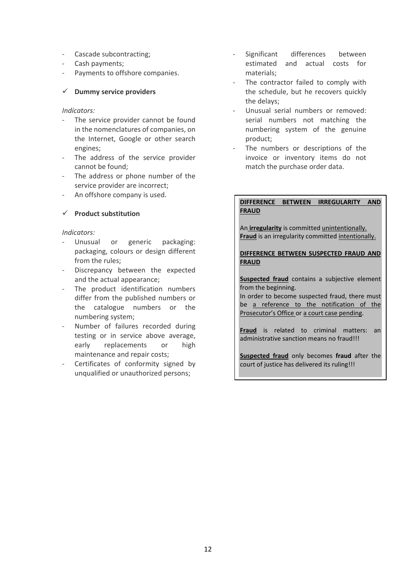- Cascade subcontracting;
- Cash payments;
- Payments to offshore companies.

#### **Dummy service providers**

#### *Indicators:*

- The service provider cannot be found in the nomenclatures of companies, on the Internet, Google or other search engines;
- The address of the service provider cannot be found;
- The address or phone number of the service provider are incorrect;
- An offshore company is used.

### **Product substitution**

#### *Indicators:*

- Unusual or generic packaging: packaging, colours or design different from the rules;
- Discrepancy between the expected and the actual appearance;
- The product identification numbers differ from the published numbers or the catalogue numbers or the numbering system;
- Number of failures recorded during testing or in service above average, early replacements or high maintenance and repair costs;
- Certificates of conformity signed by unqualified or unauthorized persons;
- Significant differences between estimated and actual costs for materials;
- The contractor failed to comply with the schedule, but he recovers quickly the delays;
- Unusual serial numbers or removed: serial numbers not matching the numbering system of the genuine product;
- The numbers or descriptions of the invoice or inventory items do not match the purchase order data.

#### **DIFFERENCE BETWEEN IRREGULARITY AND FRAUD**

An **irregularity** is committed unintentionally. **Fraud** is an irregularity committed intentionally.

**DIFFERENCE BETWEEN SUSPECTED FRAUD AND FRAUD**

**Suspected fraud** contains a subjective element from the beginning.

In order to become suspected fraud, there must be a reference to the notification of the Prosecutor's Office or a court case pending.

**Fraud** is related to criminal matters: an administrative sanction means no fraud!!!

**Suspected fraud** only becomes **fraud** after the court of justice has delivered its ruling!!!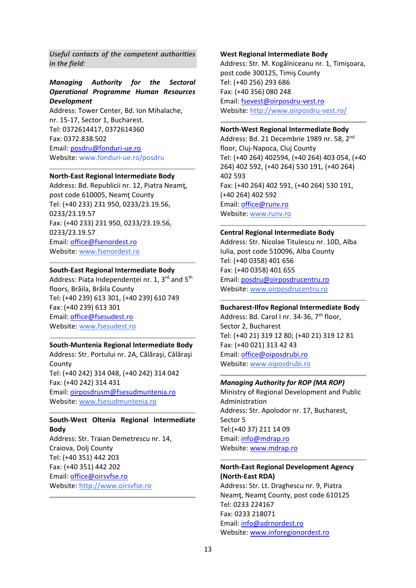*Useful contacts of the competent authorities in the field:*

# *Managing Authority for the Sectoral Operational Programme Human Resources Development*

Address: Tower Center, Bd. Ion Mihalache, nr. 15-17, Sector 1, Bucharest. Tel: 0372614417, 0372614360 Fax: 0372.838.502 Email: [posdru@fonduri-ue.ro](mailto:posdru@fonduri-ue.ro) Website: www.fonduri-ue.ro/posdru

#### **North-East Regional Intermediate Body**

Address: Bd. Republicii nr. 12, Piatra Neamţ, post code 610005, Neamţ County Tel: (+40 233) 231 950, 0233/23.19.56, 0233/23.19.57 Fax: (+40 233) 231 950, 0233/23.19.56, 0233/23.19.57 Email: [office@fsenordest.ro](mailto:office@fsenordest.ro) Website: [www.fsenordest.ro](http://www.fsenordest.ro/)

#### **South-East Regional Intermediate Body**

Address: Piata Independentei nr. 1, 3rd and 5<sup>th</sup> floors, Brăila, Brăila County Tel: (+40 239) 613 301, (+40 239) 610 749 Fax: (+40 239) 613 301 Email: [office@fsesudest.ro](mailto:office@fsesudest.ro) Website: [www.fsesudest.ro](http://www.fsesudest.ro/)

#### **South-Muntenia Regional Intermediate Body**

Address: Str. Portului nr. 2A, Călăraşi, Călăraşi **County** Tel: (+40 242) 314 048, (+40 242) 314 042 Fax: (+40 242) 314 431 Email: [oirposdrusm@fsesudmuntenia.ro](mailto:oirposdrusm@fsesudmuntenia.ro) Website: [www.fsesudmuntenia.ro](http://www.fsesudmuntenia.ro/)

#### **South-West Oltenia Regional Intermediate Body**

Address: Str. Traian Demetrescu nr. 14, Craiova, Dolj County Tel: (+40 351) 442 203 Fax: (+40 351) 442 202 Email: [office@oirsvfse.ro](mailto:office@oirsvfse.ro) Website: [http://www.oirsvfse.ro](http://www.oirsvfse.ro/)

### **West Regional Intermediate Body**

Address: Str. M. Kogălniceanu nr. 1, Timişoara, post code 300125, Timiş County Tel: (+40 256) 293 686 Fax: (+40 356) 080 248 Email: [fsevest@oirposdru-vest.ro](mailto:fsevest@oirposdru-vest.ro) Website:<http://www.oirposdru-vest.ro/>

#### **North-West Regional Intermediate Body**

Address: Bd. 21 Decembrie 1989 nr. 58, 2nd floor, Cluj-Napoca, Cluj County Tel: (+40 264) 402594, (+40 264) 403 054, (+40 264) 402 592, (+40 264) 530 191, (+40 264) 402 593 Fax: (+40 264) 402 591, (+40 264) 530 191, (+40 264) 402 592 Email: [office@runv.ro](mailto:office@runv.ro) Website: [www.runv.ro](http://www.runv.ro/)

#### **Central Regional Intermediate Body**

Address: Str. Nicolae Titulescu nr. 10D, Alba Iulia, post code 510096, Alba County Tel: (+40 0358) 401 656 Fax: (+40 0358) 401 655 Email: [posdru@oirposdrucentru.ro](mailto:posdru@oirposdrucentru.ro) Website: [www.oirposdrucentru.ro](http://www.oirposdrucentru.ro/)

#### **Bucharest-Ilfov Regional Intermediate Body**

Address: Bd. Carol I nr. 34-36, 7<sup>th</sup> floor, Sector 2, Bucharest Tel: (+40 21) 319 12 80; (+40 21) 319 12 81 Fax: (+40 021) 313 42 43 Email: [office@oiposdrubi.ro](mailto:office@oiposdrubi.ro) Website: [www.oiposdrubi.ro](http://www.oiposdrubi.ro/)

#### *Managing Authority for ROP (MA ROP)*

Ministry of Regional Development and Public Administration Address: Str. Apolodor nr. 17, Bucharest, Sector 5 Tel:(+40 37) 211 14 09 Email: [info@mdrap.ro](mailto:info@mdrap.ro) Website: [www.mdrap.ro](http://www.mdrap.ro/)

#### **North-East Regional Development Agency (North-East RDA)**

Address: Str. Lt. Draghescu nr. 9, Piatra Neamt, Neamt County, post code 610125 Tel: 0233 224167 Fax: 0233 218071 Email: [info@adrnordest.ro](mailto:info@adrnordest.ro) Website: [www.inforegionordest.ro](http://www.inforegionordest.ro/)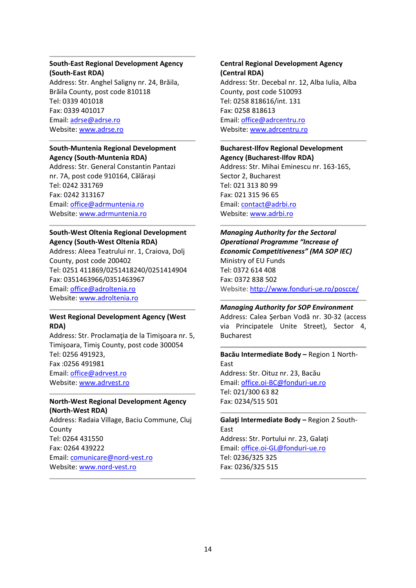# **South-East Regional Development Agency (South-East RDA)**

Address: Str. Anghel Saligny nr. 24, Brăila, Brăila County, post code 810118 Tel: 0339 401018 Fax: 0339 401017 Email: [adrse@adrse.ro](mailto:adrse@adrse.ro) Website: [www.adrse.ro](http://www.adrse.ro/)

# **South-Muntenia Regional Development Agency (South-Muntenia RDA)**

Address: Str. General Constantin Pantazi nr. 7A, post code 910164, Călărași Tel: 0242 331769 Fax: 0242 313167 Email: [office@adrmuntenia.ro](mailto:office@adrmuntenia.ro) Website: [www.adrmuntenia.ro](http://www.adrmuntenia.ro/)

# **South-West Oltenia Regional Development Agency (South-West Oltenia RDA)**

Address: Aleea Teatrului nr. 1, Craiova, Dolj County, post code 200402 Tel: 0251 411869/0251418240/0251414904 Fax: 0351463966/0351463967 Email: [office@adroltenia.ro](mailto:office@adroltenia.ro) Website: [www.adroltenia.ro](http://www.adroltenia.ro/)

# **West Regional Development Agency (West RDA)**

Address: Str. Proclamaţia de la Timişoara nr. 5, Timişoara, Timiş County, post code 300054 Tel: 0256 491923, Fax :0256 491981 Email: [office@adrvest.ro](mailto:office@adrvest.ro) Website: [www.adrvest.ro](http://www.adrvest.ro/)

#### **North-West Regional Development Agency (North-West RDA)**

Address: Radaia Village, Baciu Commune, Cluj **County** Tel: 0264 431550 Fax: 0264 439222 Email: [comunicare@nord-vest.ro](mailto:comunicare@nord-vest.ro) Website: [www.nord-vest.ro](http://www.nord-vest.ro/)

# **Central Regional Development Agency (Central RDA)** Address: Str. Decebal nr. 12, Alba Iulia, Alba County, post code 510093 Tel: 0258 818616/int. 131 Fax: 0258 818613 Email: [office@adrcentru.ro](mailto:office@adrcentru.ro) Website: [www.adrcentru.ro](http://www.adrcentru.ro/)

**Bucharest-Ilfov Regional Development Agency (Bucharest-Ilfov RDA)** Address: Str. Mihai Eminescu nr. 163-165, Sector 2, Bucharest Tel: 021 313 80 99 Fax: 021 315 96 65 Email: [contact@adrbi.ro](mailto:contact@adrbi.ro) Website: [www.adrbi.ro](http://www.adrbi.ro/)

*Managing Authority for the Sectoral Operational Programme "Increase of Economic Competitiveness" (MA SOP IEC)* Ministry of EU Funds Tel: 0372 614 408 Fax: 0372 838 502 Website:<http://www.fonduri-ue.ro/poscce/>

### *[Managing Authority for SOP Environment](http://www.posmediu.ro/continut.aspx?id=129)*

Address: Calea Şerban Vodă nr. 30-32 (access via Principatele Unite Street), Sector 4, Bucharest

# **Bacău Intermediate Body –** [Region 1 North-](http://www.posmediu.ro/bacau)[East](http://www.posmediu.ro/bacau) Address: Str. Oituz nr. 23, Bacău Email: [office.oi-BC@fonduri-ue.ro](mailto:office.oi-BC@posmediu.ro) Tel: 021/300 63 82 Fax: 0234/515 501

**Galaţi Intermediate Body –** [Region 2 South-](http://www.posmediu.ro/galati)[East](http://www.posmediu.ro/galati) Address: Str. Portului nr. 23, Galaţi Email: [office.oi-GL@fonduri-ue.ro](mailto:office.oi-GL@posmediu.ro) Tel: 0236/325 325 Fax: 0236/325 515